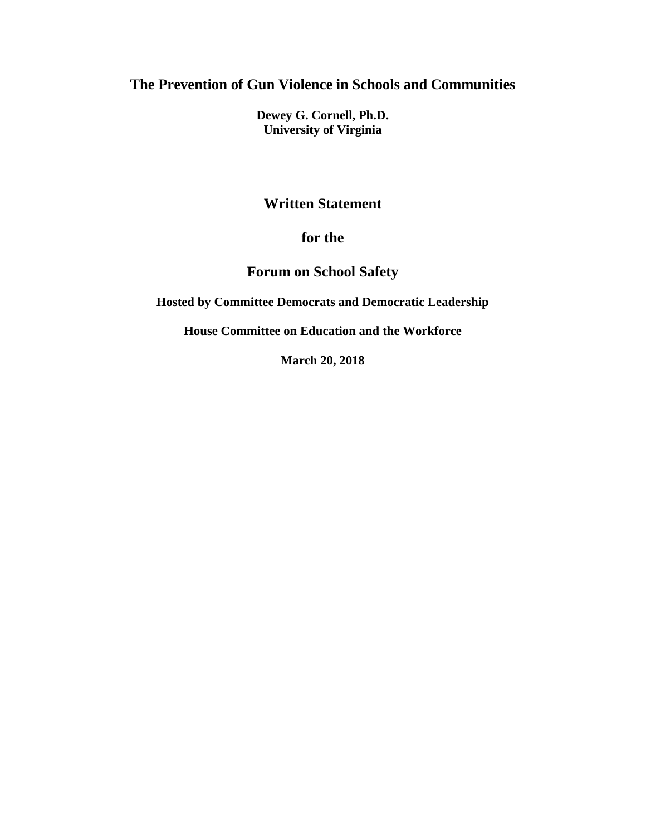**The Prevention of Gun Violence in Schools and Communities**

**Dewey G. Cornell, Ph.D. University of Virginia**

## **Written Statement**

## **for the**

## **Forum on School Safety**

**Hosted by Committee Democrats and Democratic Leadership** 

**House Committee on Education and the Workforce**

**March 20, 2018**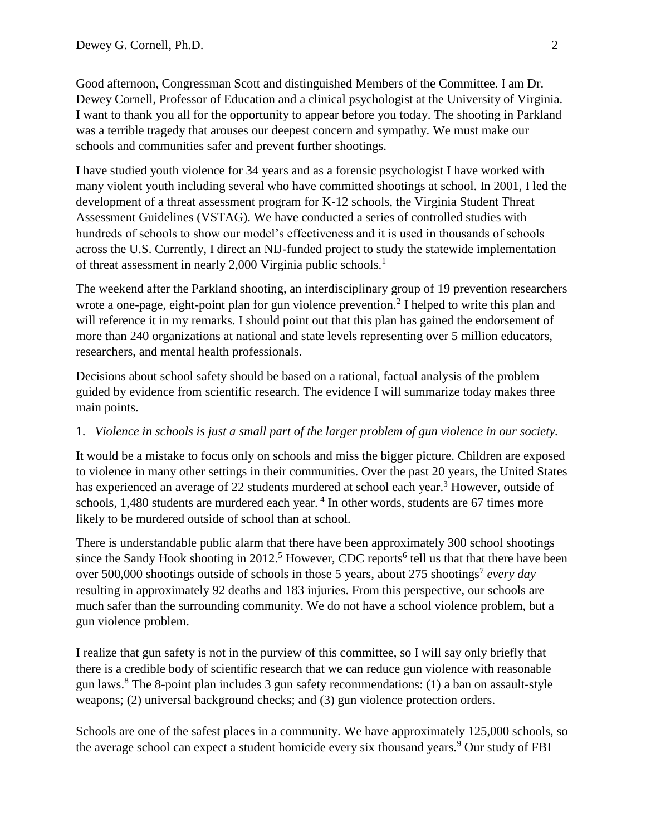Good afternoon, Congressman Scott and distinguished Members of the Committee. I am Dr. Dewey Cornell, Professor of Education and a clinical psychologist at the University of Virginia. I want to thank you all for the opportunity to appear before you today. The shooting in Parkland was a terrible tragedy that arouses our deepest concern and sympathy. We must make our schools and communities safer and prevent further shootings.

I have studied youth violence for 34 years and as a forensic psychologist I have worked with many violent youth including several who have committed shootings at school. In 2001, I led the development of a threat assessment program for K-12 schools, the Virginia Student Threat Assessment Guidelines (VSTAG). We have conducted a series of controlled studies with hundreds of schools to show our model's effectiveness and it is used in thousands of schools across the U.S. Currently, I direct an NIJ-funded project to study the statewide implementation of threat assessment in nearly 2,000 Virginia public schools.<sup>1</sup>

The weekend after the Parkland shooting, an interdisciplinary group of 19 prevention researchers wrote a one-page, eight-point plan for gun violence prevention.<sup>2</sup> I helped to write this plan and will reference it in my remarks. I should point out that this plan has gained the endorsement of more than 240 organizations at national and state levels representing over 5 million educators, researchers, and mental health professionals.

Decisions about school safety should be based on a rational, factual analysis of the problem guided by evidence from scientific research. The evidence I will summarize today makes three main points.

#### 1. *Violence in schools is just a small part of the larger problem of gun violence in our society.*

It would be a mistake to focus only on schools and miss the bigger picture. Children are exposed to violence in many other settings in their communities. Over the past 20 years, the United States has experienced an average of 22 students murdered at school each year.<sup>3</sup> However, outside of schools, 1,480 students are murdered each year.<sup>4</sup> In other words, students are 67 times more likely to be murdered outside of school than at school.

There is understandable public alarm that there have been approximately 300 school shootings since the Sandy Hook shooting in 2012.<sup>5</sup> However, CDC reports<sup>6</sup> tell us that that there have been over 500,000 shootings outside of schools in those 5 years, about 275 shootings<sup>7</sup> every day resulting in approximately 92 deaths and 183 injuries. From this perspective, our schools are much safer than the surrounding community. We do not have a school violence problem, but a gun violence problem.

I realize that gun safety is not in the purview of this committee, so I will say only briefly that there is a credible body of scientific research that we can reduce gun violence with reasonable gun laws.<sup>8</sup> The 8-point plan includes 3 gun safety recommendations: (1) a ban on assault-style weapons; (2) universal background checks; and (3) gun violence protection orders.

Schools are one of the safest places in a community. We have approximately 125,000 schools, so the average school can expect a student homicide every six thousand years.<sup>9</sup> Our study of FBI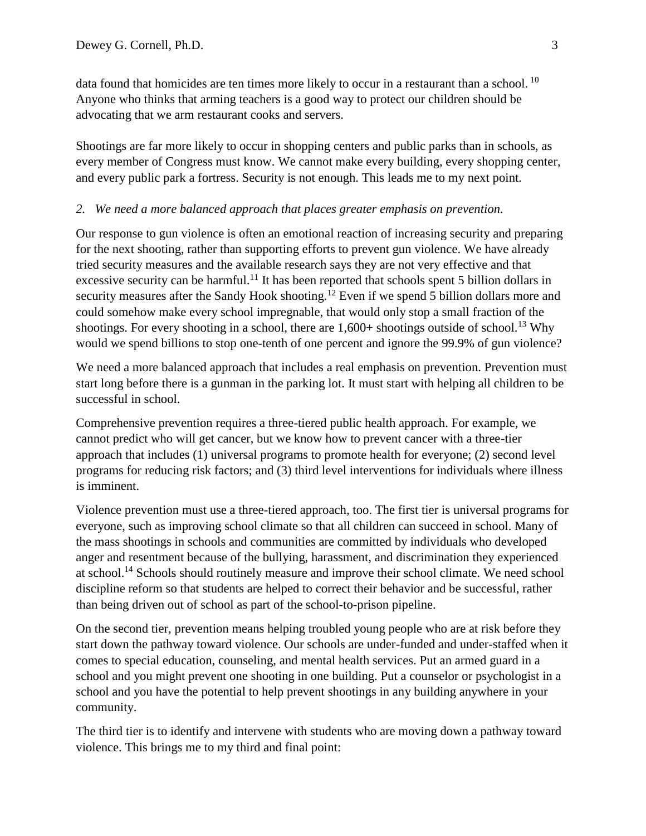data found that homicides are ten times more likely to occur in a restaurant than a school.<sup>10</sup> Anyone who thinks that arming teachers is a good way to protect our children should be advocating that we arm restaurant cooks and servers.

Shootings are far more likely to occur in shopping centers and public parks than in schools, as every member of Congress must know. We cannot make every building, every shopping center, and every public park a fortress. Security is not enough. This leads me to my next point.

#### *2. We need a more balanced approach that places greater emphasis on prevention.*

Our response to gun violence is often an emotional reaction of increasing security and preparing for the next shooting, rather than supporting efforts to prevent gun violence. We have already tried security measures and the available research says they are not very effective and that excessive security can be harmful.<sup>11</sup> It has been reported that schools spent 5 billion dollars in security measures after the Sandy Hook shooting.<sup>12</sup> Even if we spend 5 billion dollars more and could somehow make every school impregnable, that would only stop a small fraction of the shootings. For every shooting in a school, there are  $1,600+$  shootings outside of school.<sup>13</sup> Why would we spend billions to stop one-tenth of one percent and ignore the 99.9% of gun violence?

We need a more balanced approach that includes a real emphasis on prevention. Prevention must start long before there is a gunman in the parking lot. It must start with helping all children to be successful in school.

Comprehensive prevention requires a three-tiered public health approach. For example, we cannot predict who will get cancer, but we know how to prevent cancer with a three-tier approach that includes (1) universal programs to promote health for everyone; (2) second level programs for reducing risk factors; and (3) third level interventions for individuals where illness is imminent.

Violence prevention must use a three-tiered approach, too. The first tier is universal programs for everyone, such as improving school climate so that all children can succeed in school. Many of the mass shootings in schools and communities are committed by individuals who developed anger and resentment because of the bullying, harassment, and discrimination they experienced at school.<sup>14</sup> Schools should routinely measure and improve their school climate. We need school discipline reform so that students are helped to correct their behavior and be successful, rather than being driven out of school as part of the school-to-prison pipeline.

On the second tier, prevention means helping troubled young people who are at risk before they start down the pathway toward violence. Our schools are under-funded and under-staffed when it comes to special education, counseling, and mental health services. Put an armed guard in a school and you might prevent one shooting in one building. Put a counselor or psychologist in a school and you have the potential to help prevent shootings in any building anywhere in your community.

The third tier is to identify and intervene with students who are moving down a pathway toward violence. This brings me to my third and final point: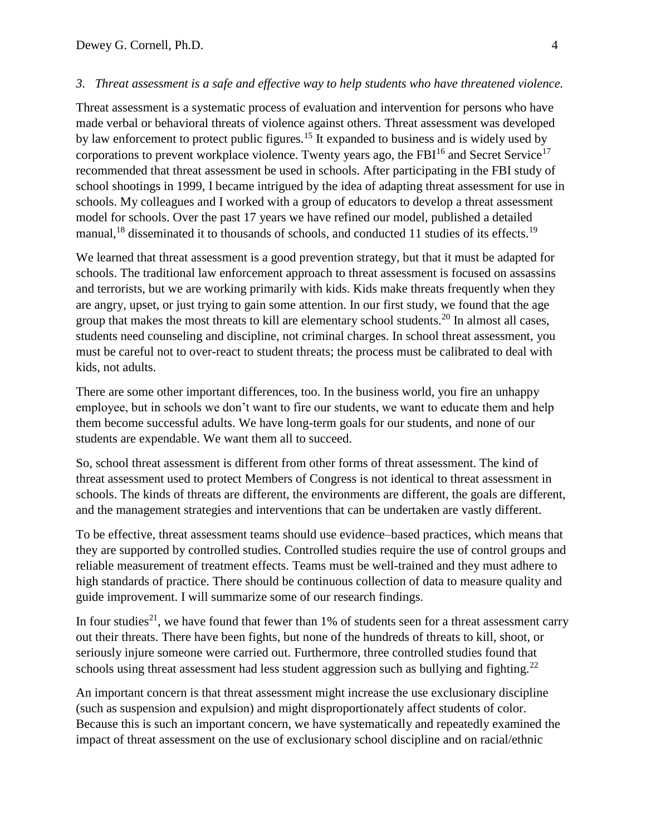#### *3. Threat assessment is a safe and effective way to help students who have threatened violence.*

Threat assessment is a systematic process of evaluation and intervention for persons who have made verbal or behavioral threats of violence against others. Threat assessment was developed by law enforcement to protect public figures.<sup>15</sup> It expanded to business and is widely used by corporations to prevent workplace violence. Twenty years ago, the FB $I^{16}$  and Secret Service<sup>17</sup> recommended that threat assessment be used in schools. After participating in the FBI study of school shootings in 1999, I became intrigued by the idea of adapting threat assessment for use in schools. My colleagues and I worked with a group of educators to develop a threat assessment model for schools. Over the past 17 years we have refined our model, published a detailed manual,<sup>18</sup> disseminated it to thousands of schools, and conducted 11 studies of its effects.<sup>19</sup>

We learned that threat assessment is a good prevention strategy, but that it must be adapted for schools. The traditional law enforcement approach to threat assessment is focused on assassins and terrorists, but we are working primarily with kids. Kids make threats frequently when they are angry, upset, or just trying to gain some attention. In our first study, we found that the age group that makes the most threats to kill are elementary school students.<sup>20</sup> In almost all cases, students need counseling and discipline, not criminal charges. In school threat assessment, you must be careful not to over-react to student threats; the process must be calibrated to deal with kids, not adults.

There are some other important differences, too. In the business world, you fire an unhappy employee, but in schools we don't want to fire our students, we want to educate them and help them become successful adults. We have long-term goals for our students, and none of our students are expendable. We want them all to succeed.

So, school threat assessment is different from other forms of threat assessment. The kind of threat assessment used to protect Members of Congress is not identical to threat assessment in schools. The kinds of threats are different, the environments are different, the goals are different, and the management strategies and interventions that can be undertaken are vastly different.

To be effective, threat assessment teams should use evidence–based practices, which means that they are supported by controlled studies. Controlled studies require the use of control groups and reliable measurement of treatment effects. Teams must be well-trained and they must adhere to high standards of practice. There should be continuous collection of data to measure quality and guide improvement. I will summarize some of our research findings.

In four studies<sup>21</sup>, we have found that fewer than 1% of students seen for a threat assessment carry out their threats. There have been fights, but none of the hundreds of threats to kill, shoot, or seriously injure someone were carried out. Furthermore, three controlled studies found that schools using threat assessment had less student aggression such as bullying and fighting.<sup>22</sup>

An important concern is that threat assessment might increase the use exclusionary discipline (such as suspension and expulsion) and might disproportionately affect students of color. Because this is such an important concern, we have systematically and repeatedly examined the impact of threat assessment on the use of exclusionary school discipline and on racial/ethnic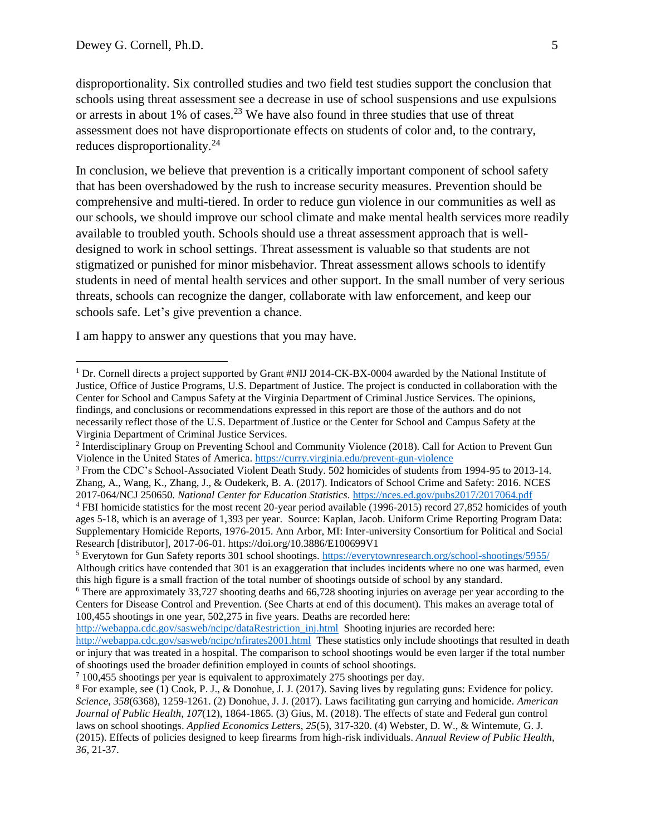$\overline{a}$ 

disproportionality. Six controlled studies and two field test studies support the conclusion that schools using threat assessment see a decrease in use of school suspensions and use expulsions or arrests in about 1% of cases.<sup>23</sup> We have also found in three studies that use of threat assessment does not have disproportionate effects on students of color and, to the contrary, reduces disproportionality.<sup>24</sup>

In conclusion, we believe that prevention is a critically important component of school safety that has been overshadowed by the rush to increase security measures. Prevention should be comprehensive and multi-tiered. In order to reduce gun violence in our communities as well as our schools, we should improve our school climate and make mental health services more readily available to troubled youth. Schools should use a threat assessment approach that is welldesigned to work in school settings. Threat assessment is valuable so that students are not stigmatized or punished for minor misbehavior. Threat assessment allows schools to identify students in need of mental health services and other support. In the small number of very serious threats, schools can recognize the danger, collaborate with law enforcement, and keep our schools safe. Let's give prevention a chance.

I am happy to answer any questions that you may have.

<sup>5</sup> Everytown for Gun Safety reports 301 school shootings.<https://everytownresearch.org/school-shootings/5955/> Although critics have contended that 301 is an exaggeration that includes incidents where no one was harmed, even this high figure is a small fraction of the total number of shootings outside of school by any standard.

[http://webappa.cdc.gov/sasweb/ncipc/dataRestriction\\_inj.html](http://webappa.cdc.gov/sasweb/ncipc/dataRestriction_inj.html) Shooting injuries are recorded here:

<sup>&</sup>lt;sup>1</sup> Dr. Cornell directs a project supported by Grant #NIJ 2014-CK-BX-0004 awarded by the National Institute of Justice, Office of Justice Programs, U.S. Department of Justice. The project is conducted in collaboration with the Center for School and Campus Safety at the Virginia Department of Criminal Justice Services. The opinions, findings, and conclusions or recommendations expressed in this report are those of the authors and do not necessarily reflect those of the U.S. Department of Justice or the Center for School and Campus Safety at the Virginia Department of Criminal Justice Services.

<sup>&</sup>lt;sup>2</sup> Interdisciplinary Group on Preventing School and Community Violence (2018). Call for Action to Prevent Gun Violence in the United States of America.<https://curry.virginia.edu/prevent-gun-violence>

<sup>3</sup> From the CDC's School-Associated Violent Death Study. 502 homicides of students from 1994-95 to 2013-14. Zhang, A., Wang, K., Zhang, J., & Oudekerk, B. A. (2017). Indicators of School Crime and Safety: 2016. NCES 2017-064/NCJ 250650. *National Center for Education Statistics*.<https://nces.ed.gov/pubs2017/2017064.pdf>

<sup>4</sup> FBI homicide statistics for the most recent 20-year period available (1996-2015) record 27,852 homicides of youth ages 5-18, which is an average of 1,393 per year. Source: Kaplan, Jacob. Uniform Crime Reporting Program Data: Supplementary Homicide Reports, 1976-2015. Ann Arbor, MI: Inter-university Consortium for Political and Social Research [distributor], 2017-06-01. https://doi.org/10.3886/E100699V1

<sup>6</sup> There are approximately 33,727 shooting deaths and 66,728 shooting injuries on average per year according to the Centers for Disease Control and Prevention. (See Charts at end of this document). This makes an average total of 100,455 shootings in one year, 502,275 in five years. Deaths are recorded here:

<http://webappa.cdc.gov/sasweb/ncipc/nfirates2001.html>These statistics only include shootings that resulted in death or injury that was treated in a hospital. The comparison to school shootings would be even larger if the total number of shootings used the broader definition employed in counts of school shootings.

<sup>&</sup>lt;sup>7</sup> 100,455 shootings per year is equivalent to approximately 275 shootings per day.

<sup>8</sup> For example, see (1) Cook, P. J., & Donohue, J. J. (2017). Saving lives by regulating guns: Evidence for policy. *Science*, *358*(6368), 1259-1261. (2) Donohue, J. J. (2017). Laws facilitating gun carrying and homicide. *American Journal of Public Health*, *107*(12), 1864-1865. (3) Gius, M. (2018). The effects of state and Federal gun control laws on school shootings. *Applied Economics Letters*, *25*(5), 317-320. (4) Webster, D. W., & Wintemute, G. J. (2015). Effects of policies designed to keep firearms from high-risk individuals. *Annual Review of Public Health, 36*, 21-37.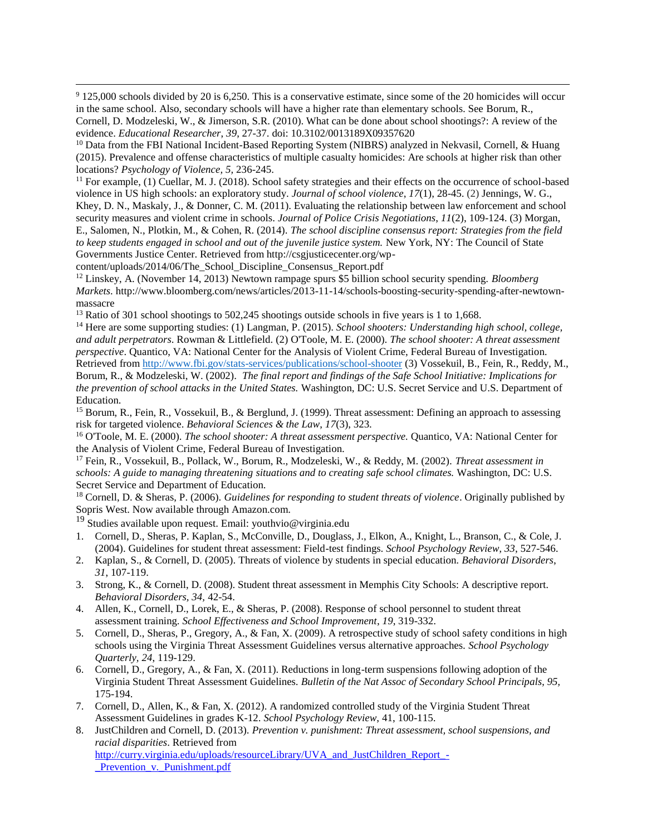<sup>9</sup> 125,000 schools divided by 20 is 6,250. This is a conservative estimate, since some of the 20 homicides will occur in the same school. Also, secondary schools will have a higher rate than elementary schools. See Borum, R., Cornell, D. Modzeleski, W., & Jimerson, S.R. (2010). What can be done about school shootings?: A review of the evidence. *Educational Researcher*, *39*, 27-37. doi: 10.3102/0013189X09357620

<sup>10</sup> Data from the FBI National Incident-Based Reporting System (NIBRS) analyzed in Nekvasil, Cornell, & Huang (2015). Prevalence and offense characteristics of multiple casualty homicides: Are schools at higher risk than other locations? *Psychology of Violence, 5,* 236-245.

<sup>11</sup> For example, (1) Cuellar, M. J. (2018). School safety strategies and their effects on the occurrence of school-based violence in US high schools: an exploratory study. *Journal of school violence*, *17*(1), 28-45. (2) Jennings, W. G., Khey, D. N., Maskaly, J., & Donner, C. M. (2011). Evaluating the relationship between law enforcement and school security measures and violent crime in schools. *Journal of Police Crisis Negotiations*, *11*(2), 109-124. (3) Morgan, E., Salomen, N., Plotkin, M., & Cohen, R. (2014). *The school discipline consensus report: Strategies from the field to keep students engaged in school and out of the juvenile justice system.* New York, NY: The Council of State Governments Justice Center. Retrieved from http://csgjusticecenter.org/wp-

content/uploads/2014/06/The\_School\_Discipline\_Consensus\_Report.pdf

 $\overline{a}$ 

<sup>12</sup> Linskey, A. (November 14, 2013) Newtown rampage spurs \$5 billion school security spending. *Bloomberg Markets*. http://www.bloomberg.com/news/articles/2013-11-14/schools-boosting-security-spending-after-newtownmassacre

<sup>13</sup> Ratio of 301 school shootings to 502,245 shootings outside schools in five years is 1 to 1,668.

<sup>14</sup> Here are some supporting studies: (1) Langman, P. (2015). *School shooters: Understanding high school, college, and adult perpetrators*. Rowman & Littlefield. (2) O'Toole, M. E. (2000). *The school shooter: A threat assessment perspective*. Quantico, VA: National Center for the Analysis of Violent Crime, Federal Bureau of Investigation. Retrieved from<http://www.fbi.gov/stats-services/publications/school-shooter> (3) Vossekuil, B., Fein, R., Reddy, M., Borum, R., & Modzeleski, W. (2002). *The final report and findings of the Safe School Initiative: Implications for the prevention of school attacks in the United States.* Washington, DC: U.S. Secret Service and U.S. Department of Education.

<sup>15</sup> Borum, R., Fein, R., Vossekuil, B., & Berglund, J. (1999). Threat assessment: Defining an approach to assessing risk for targeted violence. *Behavioral Sciences & the Law*, *17*(3), 323.

<sup>16</sup> O'Toole, M. E. (2000). *The school shooter: A threat assessment perspective.* Quantico, VA: National Center for the Analysis of Violent Crime, Federal Bureau of Investigation.

<sup>17</sup> Fein, R., Vossekuil, B., Pollack, W., Borum, R., Modzeleski, W., & Reddy, M. (2002). *Threat assessment in schools: A guide to managing threatening situations and to creating safe school climates.* Washington, DC: U.S. Secret Service and Department of Education.

<sup>18</sup> Cornell, D. & Sheras, P. (2006). *Guidelines for responding to student threats of violence*. Originally published by Sopris West. Now available through Amazon.com.

<sup>19</sup> Studies available upon request. Email: youthvio@virginia.edu

- 1. Cornell, D., Sheras, P. Kaplan, S., McConville, D., Douglass, J., Elkon, A., Knight, L., Branson, C., & Cole, J. (2004). Guidelines for student threat assessment: Field-test findings. *School Psychology Review, 33*, 527-546.
- 2. Kaplan, S., & Cornell, D. (2005). Threats of violence by students in special education. *Behavioral Disorders*, *31*, 107-119.
- 3. Strong, K., & Cornell, D. (2008). Student threat assessment in Memphis City Schools: A descriptive report. *Behavioral Disorders, 34,* 42-54.
- 4. Allen, K., Cornell, D., Lorek, E., & Sheras, P. (2008). Response of school personnel to student threat assessment training. *School Effectiveness and School Improvement*, *19*, 319-332.
- 5. Cornell, D., Sheras, P., Gregory, A., & Fan, X. (2009). A retrospective study of school safety conditions in high schools using the Virginia Threat Assessment Guidelines versus alternative approaches. *School Psychology Quarterly, 24*, 119-129.
- 6. Cornell, D., Gregory, A., & Fan, X. (2011). Reductions in long-term suspensions following adoption of the Virginia Student Threat Assessment Guidelines. *Bulletin of the Nat Assoc of Secondary School Principals, 95,*  175-194.
- 7. Cornell, D., Allen, K., & Fan, X. (2012). A randomized controlled study of the Virginia Student Threat Assessment Guidelines in grades K-12. *School Psychology Review*, 41, 100-115.
- 8. JustChildren and Cornell, D. (2013). *Prevention v. punishment: Threat assessment, school suspensions, and racial disparities*. Retrieved from [http://curry.virginia.edu/uploads/resourceLibrary/UVA\\_and\\_JustChildren\\_Report\\_-](http://curry.virginia.edu/uploads/resourceLibrary/UVA_and_JustChildren_Report_-_Prevention_v._Punishment.pdf) Prevention v. Punishment.pdf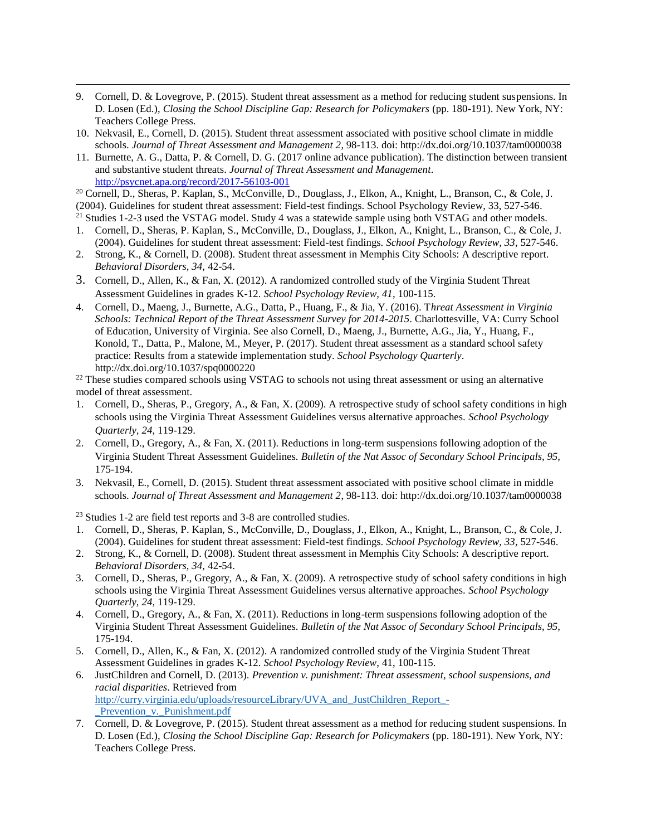- 9. Cornell, D. & Lovegrove, P. (2015). Student threat assessment as a method for reducing student suspensions. In D. Losen (Ed.), *Closing the School Discipline Gap: Research for Policymakers* (pp. 180-191). New York, NY: Teachers College Press.
- 10. Nekvasil, E., Cornell, D. (2015). Student threat assessment associated with positive school climate in middle schools. *Journal of Threat Assessment and Management 2*, 98-113. doi: http://dx.doi.org/10.1037/tam0000038
- 11. Burnette, A. G., Datta, P. & Cornell, D. G. (2017 online advance publication). The distinction between transient and substantive student threats. *Journal of Threat Assessment and Management*. <http://psycnet.apa.org/record/2017-56103-001>

<sup>20</sup> Cornell, D., Sheras, P. Kaplan, S., McConville, D., Douglass, J., Elkon, A., Knight, L., Branson, C., & Cole, J. (2004). Guidelines for student threat assessment: Field-test findings. School Psychology Review, 33, 527-546.

- <sup>21</sup> Studies 1-2-3 used the VSTAG model. Study 4 was a statewide sample using both VSTAG and other models.
- 1. Cornell, D., Sheras, P. Kaplan, S., McConville, D., Douglass, J., Elkon, A., Knight, L., Branson, C., & Cole, J. (2004). Guidelines for student threat assessment: Field-test findings. *School Psychology Review, 33*, 527-546.
- 2. Strong, K., & Cornell, D. (2008). Student threat assessment in Memphis City Schools: A descriptive report. *Behavioral Disorders, 34,* 42-54.
- 3. Cornell, D., Allen, K., & Fan, X. (2012). A randomized controlled study of the Virginia Student Threat Assessment Guidelines in grades K-12. *School Psychology Review, 41*, 100-115.
- 4. Cornell, D., Maeng, J., Burnette, A.G., Datta, P., Huang, F., & Jia, Y. (2016). T*hreat Assessment in Virginia Schools: Technical Report of the Threat Assessment Survey for 2014-2015*. Charlottesville, VA: Curry School of Education, University of Virginia. See also Cornell, D., Maeng, J., Burnette, A.G., Jia, Y., Huang, F., Konold, T., Datta, P., Malone, M., Meyer, P. (2017). Student threat assessment as a standard school safety practice: Results from a statewide implementation study. *School Psychology Quarterly*. http://dx.doi.org/10.1037/spq0000220

<sup>22</sup> These studies compared schools using VSTAG to schools not using threat assessment or using an alternative model of threat assessment.

- 1. Cornell, D., Sheras, P., Gregory, A., & Fan, X. (2009). A retrospective study of school safety conditions in high schools using the Virginia Threat Assessment Guidelines versus alternative approaches. *School Psychology Quarterly, 24*, 119-129.
- 2. Cornell, D., Gregory, A., & Fan, X. (2011). Reductions in long-term suspensions following adoption of the Virginia Student Threat Assessment Guidelines. *Bulletin of the Nat Assoc of Secondary School Principals, 95,*  175-194.
- 3. Nekvasil, E., Cornell, D. (2015). Student threat assessment associated with positive school climate in middle schools. *Journal of Threat Assessment and Management 2*, 98-113. doi: http://dx.doi.org/10.1037/tam0000038

<sup>23</sup> Studies 1-2 are field test reports and 3-8 are controlled studies.

 $\overline{a}$ 

- 1. Cornell, D., Sheras, P. Kaplan, S., McConville, D., Douglass, J., Elkon, A., Knight, L., Branson, C., & Cole, J. (2004). Guidelines for student threat assessment: Field-test findings. *School Psychology Review, 33*, 527-546.
- 2. Strong, K., & Cornell, D. (2008). Student threat assessment in Memphis City Schools: A descriptive report. *Behavioral Disorders, 34,* 42-54.
- 3. Cornell, D., Sheras, P., Gregory, A., & Fan, X. (2009). A retrospective study of school safety conditions in high schools using the Virginia Threat Assessment Guidelines versus alternative approaches. *School Psychology Quarterly, 24*, 119-129.
- 4. Cornell, D., Gregory, A., & Fan, X. (2011). Reductions in long-term suspensions following adoption of the Virginia Student Threat Assessment Guidelines. *Bulletin of the Nat Assoc of Secondary School Principals, 95,*  175-194.
- 5. Cornell, D., Allen, K., & Fan, X. (2012). A randomized controlled study of the Virginia Student Threat Assessment Guidelines in grades K-12. *School Psychology Review*, 41, 100-115.
- 6. JustChildren and Cornell, D. (2013). *Prevention v. punishment: Threat assessment, school suspensions, and racial disparities*. Retrieved from http://curry.virginia.edu/uploads/resourceLibrary/UVA and JustChildren Report -Prevention v. Punishment.pdf
- 7. Cornell, D. & Lovegrove, P. (2015). Student threat assessment as a method for reducing student suspensions. In D. Losen (Ed.), *Closing the School Discipline Gap: Research for Policymakers* (pp. 180-191). New York, NY: Teachers College Press.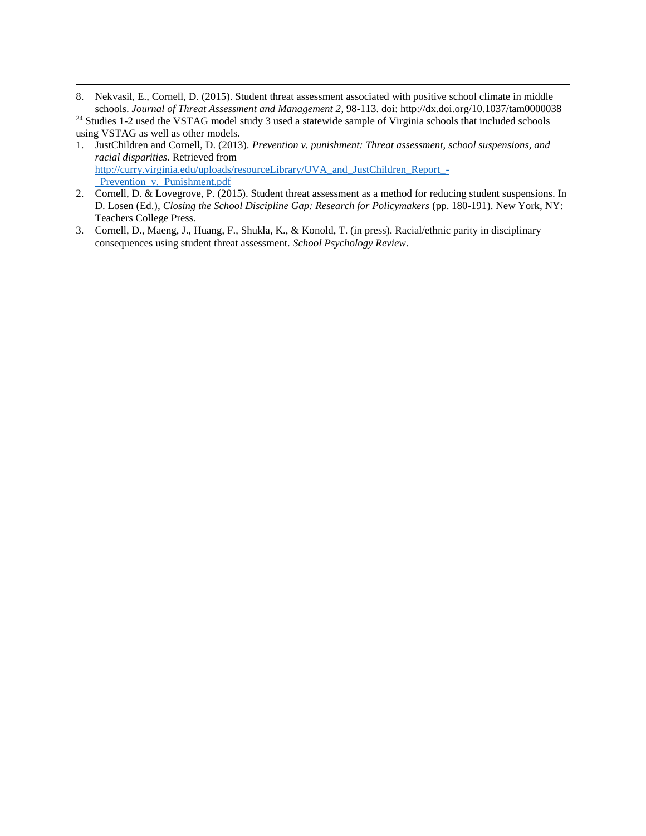8. Nekvasil, E., Cornell, D. (2015). Student threat assessment associated with positive school climate in middle schools. *Journal of Threat Assessment and Management 2*, 98-113. doi: http://dx.doi.org/10.1037/tam0000038

<sup>24</sup> Studies 1-2 used the VSTAG model study 3 used a statewide sample of Virginia schools that included schools using VSTAG as well as other models.

 $\overline{a}$ 

- 1. JustChildren and Cornell, D. (2013). *Prevention v. punishment: Threat assessment, school suspensions, and racial disparities*. Retrieved from [http://curry.virginia.edu/uploads/resourceLibrary/UVA\\_and\\_JustChildren\\_Report\\_-](http://curry.virginia.edu/uploads/resourceLibrary/UVA_and_JustChildren_Report_-_Prevention_v._Punishment.pdf) Prevention v. Punishment.pdf
- 2. Cornell, D. & Lovegrove, P. (2015). Student threat assessment as a method for reducing student suspensions. In D. Losen (Ed.), *Closing the School Discipline Gap: Research for Policymakers* (pp. 180-191). New York, NY: Teachers College Press.
- 3. Cornell, D., Maeng, J., Huang, F., Shukla, K., & Konold, T. (in press). Racial/ethnic parity in disciplinary consequences using student threat assessment. *School Psychology Review*.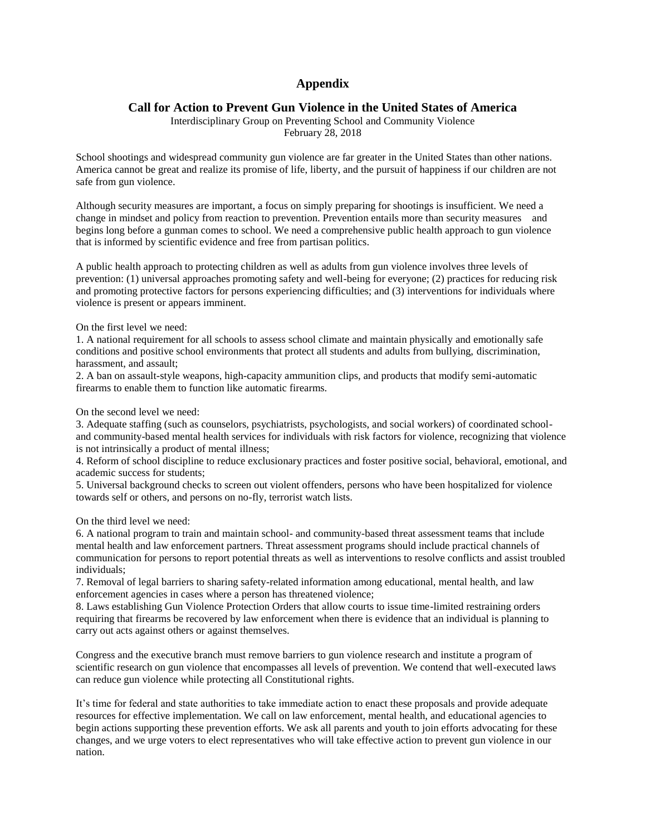#### **Appendix**

#### **Call for Action to Prevent Gun Violence in the United States of America**

Interdisciplinary Group on Preventing School and Community Violence February 28, 2018

School shootings and widespread community gun violence are far greater in the United States than other nations. America cannot be great and realize its promise of life, liberty, and the pursuit of happiness if our children are not safe from gun violence.

Although security measures are important, a focus on simply preparing for shootings is insufficient. We need a change in mindset and policy from reaction to prevention. Prevention entails more than security measures and begins long before a gunman comes to school. We need a comprehensive public health approach to gun violence that is informed by scientific evidence and free from partisan politics.

A public health approach to protecting children as well as adults from gun violence involves three levels of prevention: (1) universal approaches promoting safety and well-being for everyone; (2) practices for reducing risk and promoting protective factors for persons experiencing difficulties; and (3) interventions for individuals where violence is present or appears imminent.

On the first level we need:

1. A national requirement for all schools to assess school climate and maintain physically and emotionally safe conditions and positive school environments that protect all students and adults from bullying, discrimination, harassment, and assault;

2. A ban on assault-style weapons, high-capacity ammunition clips, and products that modify semi-automatic firearms to enable them to function like automatic firearms.

On the second level we need:

3. Adequate staffing (such as counselors, psychiatrists, psychologists, and social workers) of coordinated schooland community-based mental health services for individuals with risk factors for violence, recognizing that violence is not intrinsically a product of mental illness;

4. Reform of school discipline to reduce exclusionary practices and foster positive social, behavioral, emotional, and academic success for students;

5. Universal background checks to screen out violent offenders, persons who have been hospitalized for violence towards self or others, and persons on no-fly, terrorist watch lists.

On the third level we need:

6. A national program to train and maintain school- and community-based threat assessment teams that include mental health and law enforcement partners. Threat assessment programs should include practical channels of communication for persons to report potential threats as well as interventions to resolve conflicts and assist troubled individuals;

7. Removal of legal barriers to sharing safety-related information among educational, mental health, and law enforcement agencies in cases where a person has threatened violence;

8. Laws establishing Gun Violence Protection Orders that allow courts to issue time-limited restraining orders requiring that firearms be recovered by law enforcement when there is evidence that an individual is planning to carry out acts against others or against themselves.

Congress and the executive branch must remove barriers to gun violence research and institute a program of scientific research on gun violence that encompasses all levels of prevention. We contend that well-executed laws can reduce gun violence while protecting all Constitutional rights.

It's time for federal and state authorities to take immediate action to enact these proposals and provide adequate resources for effective implementation. We call on law enforcement, mental health, and educational agencies to begin actions supporting these prevention efforts. We ask all parents and youth to join efforts advocating for these changes, and we urge voters to elect representatives who will take effective action to prevent gun violence in our nation.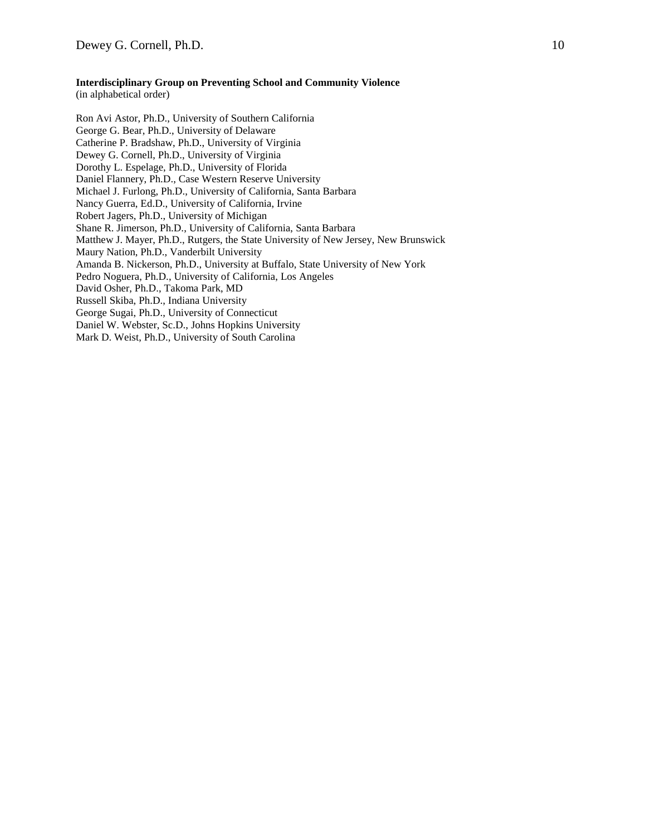#### **Interdisciplinary Group on Preventing School and Community Violence**

(in alphabetical order)

Ron Avi Astor, Ph.D., University of Southern California George G. Bear, Ph.D., University of Delaware Catherine P. Bradshaw, Ph.D., University of Virginia Dewey G. Cornell, Ph.D., University of Virginia Dorothy L. Espelage, Ph.D., University of Florida Daniel Flannery, Ph.D., Case Western Reserve University Michael J. Furlong, Ph.D., University of California, Santa Barbara Nancy Guerra, Ed.D., University of California, Irvine Robert Jagers, Ph.D., University of Michigan Shane R. Jimerson, Ph.D., University of California, Santa Barbara Matthew J. Mayer, Ph.D., Rutgers, the State University of New Jersey, New Brunswick Maury Nation, Ph.D., Vanderbilt University Amanda B. Nickerson, Ph.D., University at Buffalo, State University of New York Pedro Noguera, Ph.D., University of California, Los Angeles David Osher, Ph.D., Takoma Park, MD Russell Skiba, Ph.D., Indiana University George Sugai, Ph.D., University of Connecticut Daniel W. Webster, Sc.D., Johns Hopkins University Mark D. Weist, Ph.D., University of South Carolina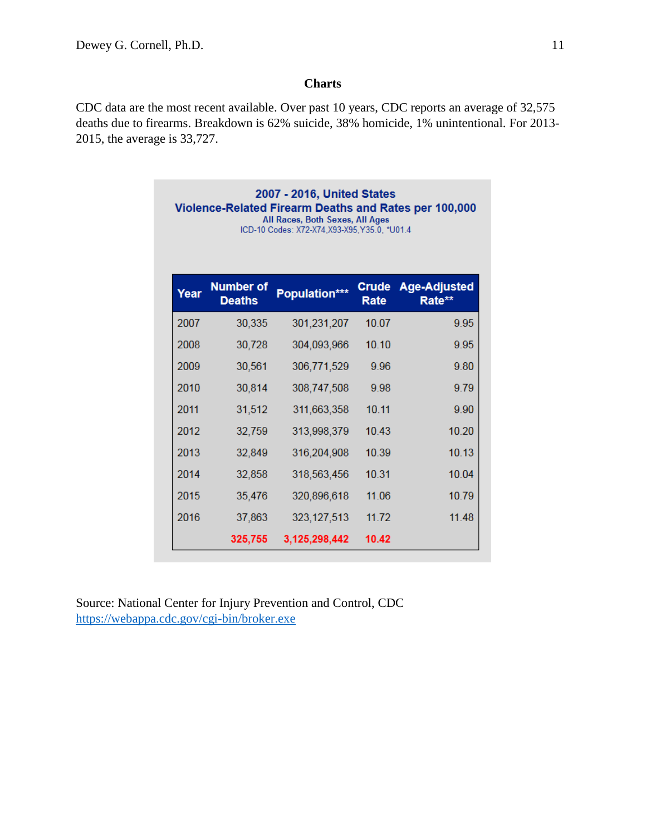### **Charts**

CDC data are the most recent available. Over past 10 years, CDC reports an average of 32,575 deaths due to firearms. Breakdown is 62% suicide, 38% homicide, 1% unintentional. For 2013- 2015, the average is 33,727.

| 2007 - 2016, United States<br>Violence-Related Firearm Deaths and Rates per 100,000<br>All Races, Both Sexes, All Ages<br>ICD-10 Codes: X72-X74.X93-X95.Y35.0. *U01.4 |                                   |               |                      |                               |  |  |  |  |  |
|-----------------------------------------------------------------------------------------------------------------------------------------------------------------------|-----------------------------------|---------------|----------------------|-------------------------------|--|--|--|--|--|
| Year                                                                                                                                                                  | <b>Number of</b><br><b>Deaths</b> | Population*** | <b>Crude</b><br>Rate | <b>Age-Adjusted</b><br>Rate** |  |  |  |  |  |
| 2007                                                                                                                                                                  | 30,335                            | 301,231,207   | 10.07                | 9.95                          |  |  |  |  |  |
| 2008                                                                                                                                                                  | 30,728                            | 304,093,966   | 10.10                | 9.95                          |  |  |  |  |  |
| 2009                                                                                                                                                                  | 30,561                            | 306,771,529   | 9.96                 | 9.80                          |  |  |  |  |  |
| 2010                                                                                                                                                                  | 30,814                            | 308,747,508   | 9.98                 | 9.79                          |  |  |  |  |  |
| 2011                                                                                                                                                                  | 31,512                            | 311,663,358   | 10.11                | 9.90                          |  |  |  |  |  |
| 2012                                                                                                                                                                  | 32,759                            | 313,998,379   | 10 43                | 10.20                         |  |  |  |  |  |
| 2013                                                                                                                                                                  | 32,849                            | 316,204,908   | 10.39                | 10.13                         |  |  |  |  |  |
| 2014                                                                                                                                                                  | 32,858                            | 318,563,456   | 10.31                | 10 04                         |  |  |  |  |  |
| 2015                                                                                                                                                                  | 35,476                            | 320,896,618   | 11.06                | 10.79                         |  |  |  |  |  |
| 2016                                                                                                                                                                  | 37,863                            | 323, 127, 513 | 11.72                | 11.48                         |  |  |  |  |  |
|                                                                                                                                                                       | 325,755                           | 3,125,298,442 | 10.42                |                               |  |  |  |  |  |

Source: National Center for Injury Prevention and Control, CDC <https://webappa.cdc.gov/cgi-bin/broker.exe>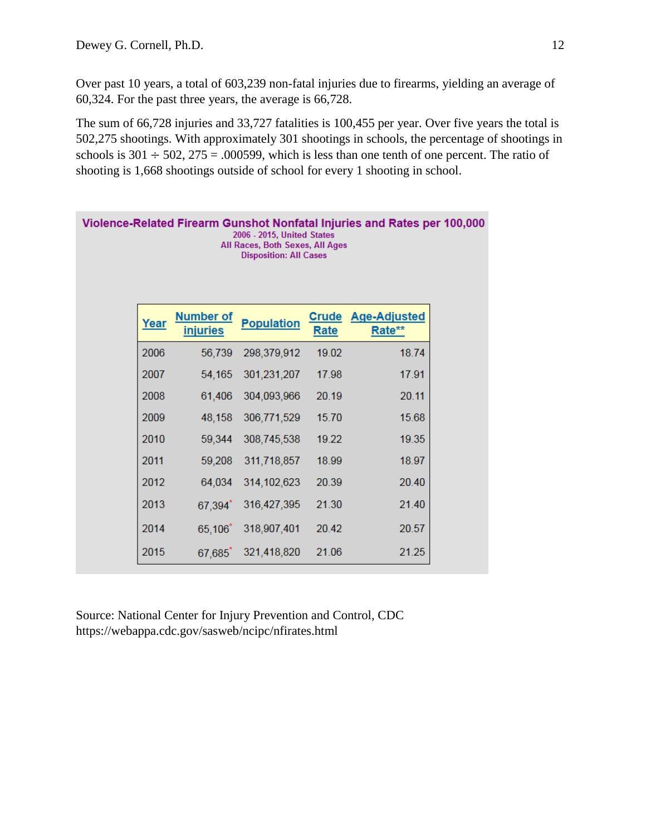Over past 10 years, a total of 603,239 non-fatal injuries due to firearms, yielding an average of 60,324. For the past three years, the average is 66,728.

The sum of 66,728 injuries and 33,727 fatalities is 100,455 per year. Over five years the total is 502,275 shootings. With approximately 301 shootings in schools, the percentage of shootings in schools is  $301 \div 502$ ,  $275 = .000599$ , which is less than one tenth of one percent. The ratio of shooting is 1,668 shootings outside of school for every 1 shooting in school.

| Violence-Related Firearm Gunshot Nonfatal Injuries and Rates per 100,000<br>2006 - 2015, United States<br>All Races, Both Sexes, All Ages<br><b>Disposition: All Cases</b> |                                     |                   |       |                                     |  |
|----------------------------------------------------------------------------------------------------------------------------------------------------------------------------|-------------------------------------|-------------------|-------|-------------------------------------|--|
| Year                                                                                                                                                                       | <b>Number of</b><br><b>injuries</b> | <b>Population</b> | Rate  | <b>Crude Age-Adjusted</b><br>Rate** |  |
| 2006                                                                                                                                                                       | 56,739                              | 298,379,912       | 19.02 | 18.74                               |  |
| 2007                                                                                                                                                                       | 54,165                              | 301,231,207       | 17.98 | 17.91                               |  |
| 2008                                                                                                                                                                       | 61,406                              | 304,093,966       | 20.19 | 20.11                               |  |
| 2009                                                                                                                                                                       | 48,158                              | 306,771,529       | 15.70 | 15.68                               |  |
| 2010                                                                                                                                                                       | 59,344                              | 308,745,538       | 19.22 | 19.35                               |  |
| 2011                                                                                                                                                                       | 59,208                              | 311,718,857       | 18.99 | 18.97                               |  |
| 2012                                                                                                                                                                       | 64,034                              | 314, 102, 623     | 20.39 | 20.40                               |  |
| 2013                                                                                                                                                                       | 67,394*                             | 316,427,395       | 21.30 | 21.40                               |  |
| 2014                                                                                                                                                                       | $65,106^*$                          | 318,907,401       | 20.42 | 20.57                               |  |
| 2015                                                                                                                                                                       | 67,685                              | 321,418,820       | 21.06 | 21.25                               |  |

Source: National Center for Injury Prevention and Control, CDC https://webappa.cdc.gov/sasweb/ncipc/nfirates.html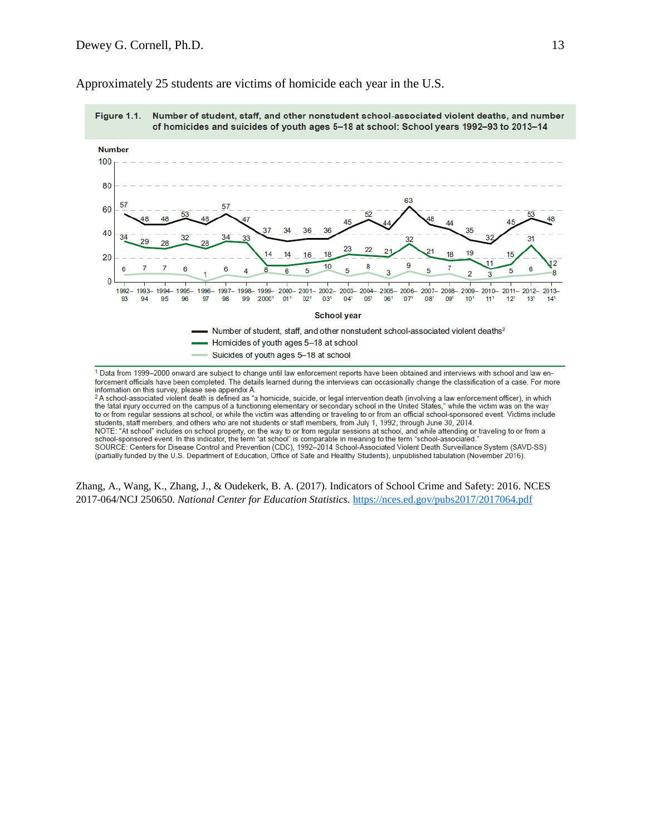

Approximately 25 students are victims of homicide each year in the U.S.

forcement officials have been completed. The details learned during the interviews can occasionally change the classification of a case. For more information on this survey, please see appendix A.

<sup>2</sup>A school-associated violent death is defined as "a homicide, suicide, or legal intervention death (involving a law enforcement officer), in which the fatal injury occurred on the campus of a functioning elementary or secondary school in the United States," while the victim was on the way to or from regular sessions at school, or while the victim was attending or traveling to or from an official school-sponsored event. Victims include students, staff members, and others who are not students or staff members, from July 1, 1992, through June 30, 2014. NOTE: "At school" includes on school property, on the way to or from regular sessions at school, and while attending or traveling to or from a school-sponsored event. In this indicator, the term "at school" is comparable i SOURCE: Centers for Disease Control and Prevention (CDC), 1992-2014 School-Associated Violent Death Surveillance System (SAVD-SS) (partially funded by the U.S. Department of Education, Office of Safe and Healthy Students), unpublished tabulation (November 2016).

Zhang, A., Wang, K., Zhang, J., & Oudekerk, B. A. (2017). Indicators of School Crime and Safety: 2016. NCES 2017-064/NCJ 250650. *National Center for Education Statistics*.<https://nces.ed.gov/pubs2017/2017064.pdf>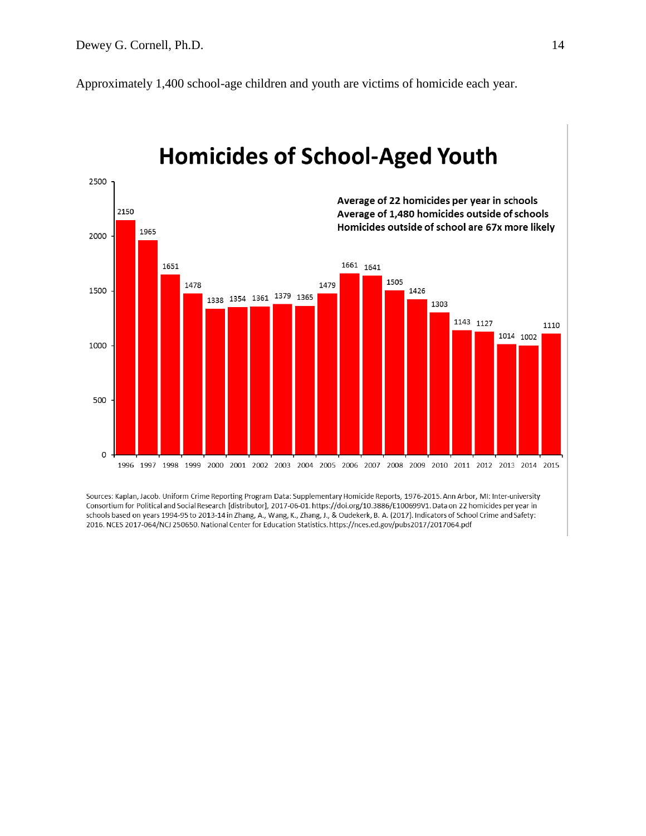Approximately 1,400 school-age children and youth are victims of homicide each year.



# **Homicides of School-Aged Youth**

Sources: Kaplan, Jacob. Uniform Crime Reporting Program Data: Supplementary Homicide Reports, 1976-2015. Ann Arbor, MI: Inter-university Consortium for Political and Social Research [distributor], 2017-06-01. https://doi.org/10.3886/E100699V1. Data on 22 homicides per year in schools based on years 1994-95 to 2013-14 in Zhang, A., Wang, K., Zhang, J., & Oudekerk, B. A. (2017). Indicators of School Crime and Safety: 2016. NCES 2017-064/NCJ 250650. National Center for Education Statistics. https://nces.ed.gov/pubs2017/2017064.pdf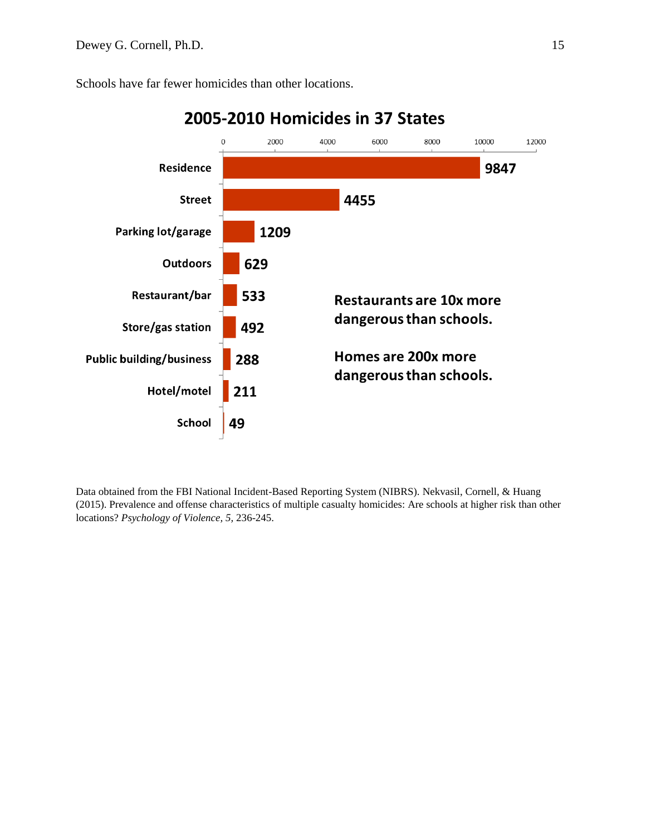Schools have far fewer homicides than other locations.



## 2005-2010 Homicides in 37 States

Data obtained from the FBI National Incident-Based Reporting System (NIBRS). Nekvasil, Cornell, & Huang (2015). Prevalence and offense characteristics of multiple casualty homicides: Are schools at higher risk than other locations? *Psychology of Violence, 5,* 236-245.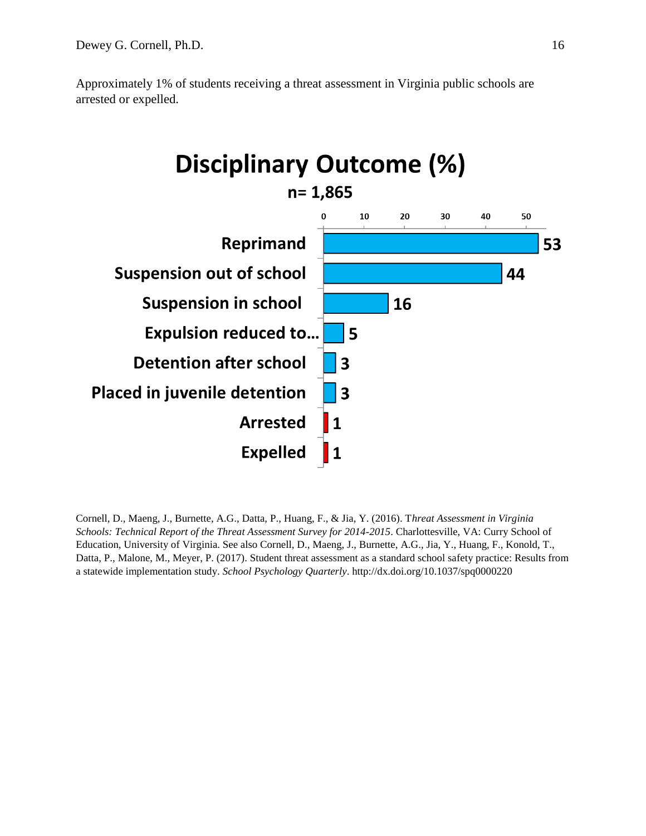



Cornell, D., Maeng, J., Burnette, A.G., Datta, P., Huang, F., & Jia, Y. (2016). T*hreat Assessment in Virginia Schools: Technical Report of the Threat Assessment Survey for 2014-2015*. Charlottesville, VA: Curry School of Education, University of Virginia. See also Cornell, D., Maeng, J., Burnette, A.G., Jia, Y., Huang, F., Konold, T., Datta, P., Malone, M., Meyer, P. (2017). Student threat assessment as a standard school safety practice: Results from a statewide implementation study. *School Psychology Quarterly*. http://dx.doi.org/10.1037/spq0000220